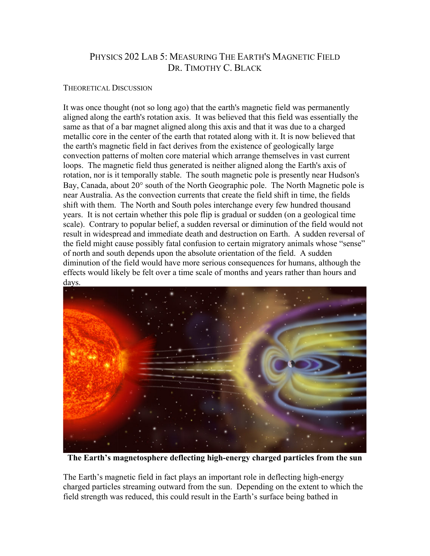## PHYSICS 202 LAB 5: MEASURING THE EARTH'S MAGNETIC FIELD DR. TIMOTHY C. BLACK

## THEORETICAL DISCUSSION

It was once thought (not so long ago) that the earth's magnetic field was permanently aligned along the earth's rotation axis. It was believed that this field was essentially the same as that of a bar magnet aligned along this axis and that it was due to a charged metallic core in the center of the earth that rotated along with it. It is now believed that the earth's magnetic field in fact derives from the existence of geologically large convection patterns of molten core material which arrange themselves in vast current loops. The magnetic field thus generated is neither aligned along the Earth's axis of rotation, nor is it temporally stable. The south magnetic pole is presently near Hudson's Bay, Canada, about 20° south of the North Geographic pole. The North Magnetic pole is near Australia. As the convection currents that create the field shift in time, the fields shift with them. The North and South poles interchange every few hundred thousand years. It is not certain whether this pole flip is gradual or sudden (on a geological time scale). Contrary to popular belief, a sudden reversal or diminution of the field would not result in widespread and immediate death and destruction on Earth. A sudden reversal of the field might cause possibly fatal confusion to certain migratory animals whose "sense" of north and south depends upon the absolute orientation of the field. A sudden diminution of the field would have more serious consequences for humans, although the effects would likely be felt over a time scale of months and years rather than hours and days.



**The Earth's magnetosphere deflecting high-energy charged particles from the sun**

The Earth's magnetic field in fact plays an important role in deflecting high-energy charged particles streaming outward from the sun. Depending on the extent to which the field strength was reduced, this could result in the Earth's surface being bathed in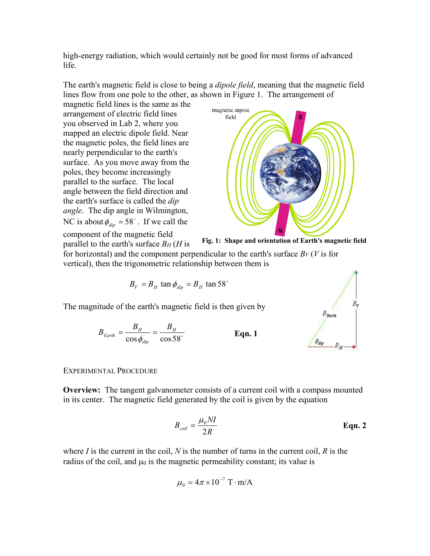high-energy radiation, which would certainly not be good for most forms of advanced life.

The earth's magnetic field is close to being a *dipole field*, meaning that the magnetic field lines flow from one pole to the other, as shown in Figure 1. The arrangement of

magnetic field lines is the same as the arrangement of electric field lines you observed in Lab 2, where you mapped an electric dipole field. Near the magnetic poles, the field lines are nearly perpendicular to the earth's surface. As you move away from the poles, they become increasingly parallel to the surface. The local angle between the field direction and the earth's surface is called the *dip angle*. The dip angle in Wilmington, NC is about  $\phi_{div} = 58^\circ$ . If we call the component of the magnetic field



parallel to the earth's surface *BH* (*H* is

**Fig. 1: Shape and orientation of Earth's magnetic field**

for horizontal) and the component perpendicular to the earth's surface  $B_V(V)$  is for vertical), then the trigonometric relationship between them is

$$
B_V = B_H \tan \phi_{dip} = B_H \tan 58^\circ
$$

The magnitude of the earth's magnetic field is then given by

$$
B_{Earth} = \frac{B_H}{\cos \phi_{dip}} = \frac{B_H}{\cos 58^\circ}
$$
 Eqn. 1



## EXPERIMENTAL PROCEDURE

**Overview:** The tangent galvanometer consists of a current coil with a compass mounted in its center. The magnetic field generated by the coil is given by the equation

$$
B_{coil} = \frac{\mu_0 NI}{2R}
$$
 Eqn. 2

where *I* is the current in the coil, *N* is the number of turns in the current coil, *R* is the radius of the coil, and  $\mu_0$  is the magnetic permeability constant; its value is

$$
\mu_0 = 4\pi \times 10^{-7} \text{ T} \cdot \text{m/A}
$$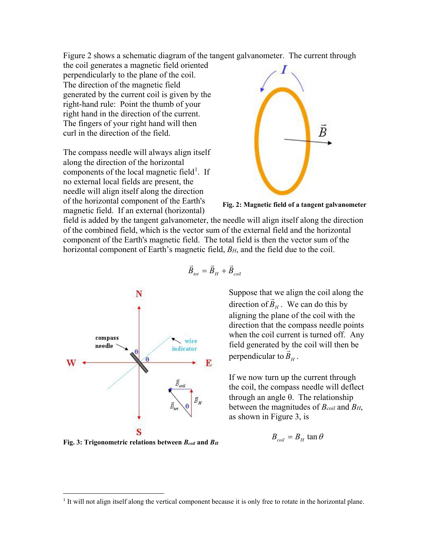Figure 2 shows a schematic diagram of the tangent galvanometer. The current through

the coil generates a magnetic field oriented perpendicularly to the plane of the coil. The direction of the magnetic field generated by the current coil is given by the right-hand rule: Point the thumb of your right hand in the direction of the current. The fingers of your right hand will then curl in the direction of the field.

The compass needle will always align itself along the direction of the horizontal components of the local magnetic field<sup>[1](#page-2-0)</sup>. If no external local fields are present, the needle will align itself along the direction of the horizontal component of the Earth's magnetic field. If an external (horizontal)



**Fig. 2: Magnetic field of a tangent galvanometer**

field is added by the tangent galvanometer, the needle will align itself along the direction of the combined field, which is the vector sum of the external field and the horizontal component of the Earth's magnetic field. The total field is then the vector sum of the horizontal component of Earth's magnetic field, *BH*, and the field due to the coil.



**Fig. 3: Trigonometric relations between** *Bcoil* **and** *BH*

$$
\vec{B}_{tot} = \vec{B}_H + \vec{B}_{coil}
$$

Suppose that we align the coil along the suppose that we arign the corr along<br>direction of  $\vec{B}_H$ . We can do this by aligning the plane of the coil with the direction that the compass needle points when the coil current is turned off. Any field generated by the coil will then be perpendicular to  $\vec{B}_H$ .

If we now turn up the current through the coil, the compass needle will deflect through an angle θ. The relationship between the magnitudes of *Bcoil* and *BH*, as shown in Figure 3, is

$$
B_{\text{coil}} = B_H \tan \theta
$$

<span id="page-2-0"></span><sup>&</sup>lt;sup>1</sup> It will not align itself along the vertical component because it is only free to rotate in the horizontal plane.